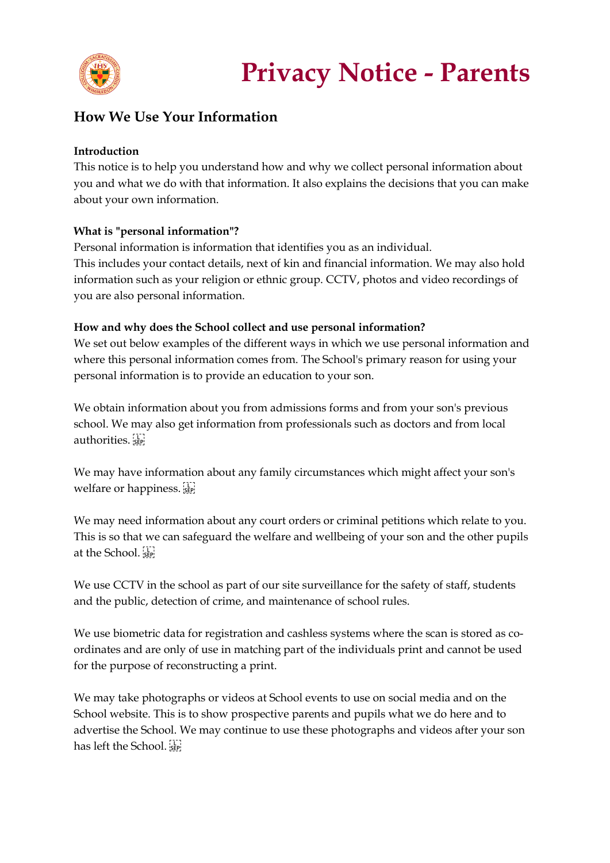

## **How We Use Your Information**

#### **Introduction**

This notice is to help you understand how and why we collect personal information about you and what we do with that information. It also explains the decisions that you can make about your own information.

#### **What is "personal information"?**

Personal information is information that identifies you as an individual. This includes your contact details, next of kin and financial information. We may also hold information such as your religion or ethnic group. CCTV, photos and video recordings of you are also personal information.

#### **How and why does the School collect and use personal information?**

We set out below examples of the different ways in which we use personal information and where this personal information comes from. The School's primary reason for using your personal information is to provide an education to your son.

We obtain information about you from admissions forms and from your son's previous school. We may also get information from professionals such as doctors and from local authorities.

We may have information about any family circumstances which might affect your son's welfare or happiness.

We may need information about any court orders or criminal petitions which relate to you. This is so that we can safeguard the welfare and wellbeing of your son and the other pupils at the School.

We use CCTV in the school as part of our site surveillance for the safety of staff, students and the public, detection of crime, and maintenance of school rules.

We use biometric data for registration and cashless systems where the scan is stored as coordinates and are only of use in matching part of the individuals print and cannot be used for the purpose of reconstructing a print.

We may take photographs or videos at School events to use on social media and on the School website. This is to show prospective parents and pupils what we do here and to advertise the School. We may continue to use these photographs and videos after your son has left the School.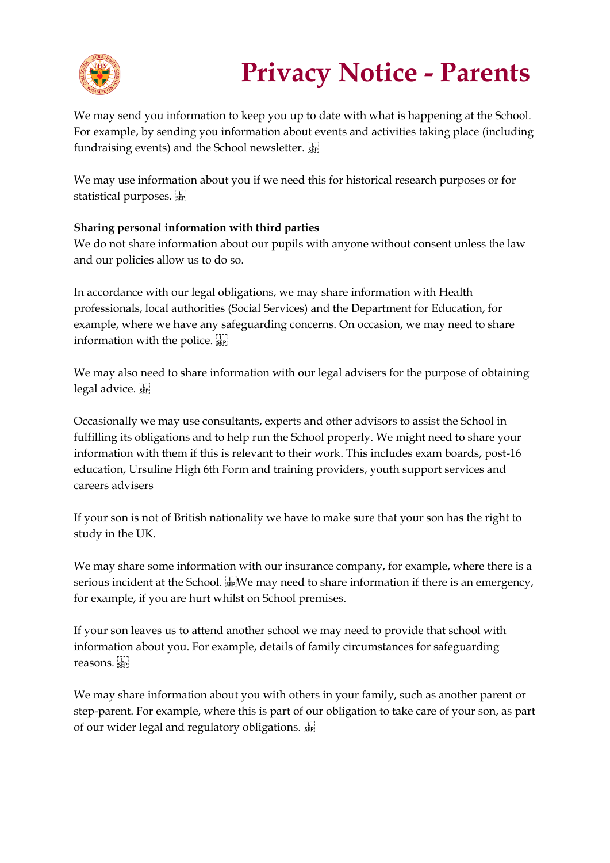

# **Privacy Notice - Parents**

We may send you information to keep you up to date with what is happening at the School. For example, by sending you information about events and activities taking place (including fundraising events) and the School newsletter.

We may use information about you if we need this for historical research purposes or for statistical purposes.

### **Sharing personal information with third parties**

We do not share information about our pupils with anyone without consent unless the law and our policies allow us to do so.

In accordance with our legal obligations, we may share information with Health professionals, local authorities (Social Services) and the Department for Education, for example, where we have any safeguarding concerns. On occasion, we may need to share information with the police.

We may also need to share information with our legal advisers for the purpose of obtaining legal advice.

Occasionally we may use consultants, experts and other advisors to assist the School in fulfilling its obligations and to help run the School properly. We might need to share your information with them if this is relevant to their work. This includes exam boards, post-16 education, Ursuline High 6th Form and training providers, youth support services and careers advisers

If your son is not of British nationality we have to make sure that your son has the right to study in the UK.

We may share some information with our insurance company, for example, where there is a serious incident at the School.  $\prod_{s \in P}$ We may need to share information if there is an emergency, for example, if you are hurt whilst on School premises.

If your son leaves us to attend another school we may need to provide that school with information about you. For example, details of family circumstances for safeguarding reasons.

We may share information about you with others in your family, such as another parent or step-parent. For example, where this is part of our obligation to take care of your son, as part of our wider legal and regulatory obligations.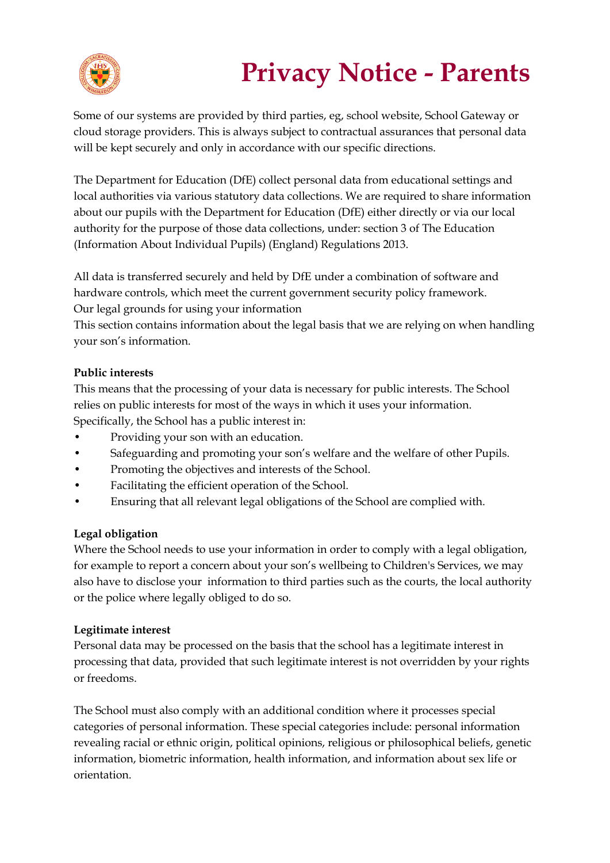

# **Privacy Notice - Parents**

Some of our systems are provided by third parties, eg, school website, School Gateway or cloud storage providers. This is always subject to contractual assurances that personal data will be kept securely and only in accordance with our specific directions.

The Department for Education (DfE) collect personal data from educational settings and local authorities via various statutory data collections. We are required to share information about our pupils with the Department for Education (DfE) either directly or via our local authority for the purpose of those data collections, under: section 3 of The Education (Information About Individual Pupils) (England) Regulations 2013.

All data is transferred securely and held by DfE under a combination of software and hardware controls, which meet the current government security policy framework. Our legal grounds for using your information

This section contains information about the legal basis that we are relying on when handling your son's information.

### **Public interests**

This means that the processing of your data is necessary for public interests. The School relies on public interests for most of the ways in which it uses your information. Specifically, the School has a public interest in:

- Providing your son with an education.
- Safeguarding and promoting your son's welfare and the welfare of other Pupils.
- Promoting the objectives and interests of the School.
- Facilitating the efficient operation of the School.
- Ensuring that all relevant legal obligations of the School are complied with.

#### **Legal obligation**

Where the School needs to use your information in order to comply with a legal obligation, for example to report a concern about your son's wellbeing to Children's Services, we may also have to disclose your information to third parties such as the courts, the local authority or the police where legally obliged to do so.

#### **Legitimate interest**

Personal data may be processed on the basis that the school has a legitimate interest in processing that data, provided that such legitimate interest is not overridden by your rights or freedoms.

The School must also comply with an additional condition where it processes special categories of personal information. These special categories include: personal information revealing racial or ethnic origin, political opinions, religious or philosophical beliefs, genetic information, biometric information, health information, and information about sex life or orientation.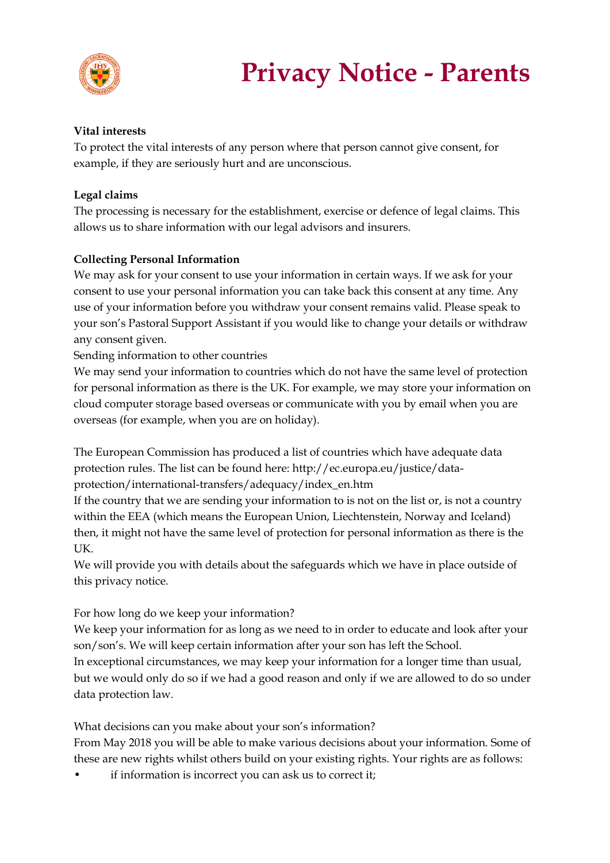

#### **Vital interests**

To protect the vital interests of any person where that person cannot give consent, for example, if they are seriously hurt and are unconscious.

#### **Legal claims**

The processing is necessary for the establishment, exercise or defence of legal claims. This allows us to share information with our legal advisors and insurers.

#### **Collecting Personal Information**

We may ask for your consent to use your information in certain ways. If we ask for your consent to use your personal information you can take back this consent at any time. Any use of your information before you withdraw your consent remains valid. Please speak to your son's Pastoral Support Assistant if you would like to change your details or withdraw any consent given.

Sending information to other countries

We may send your information to countries which do not have the same level of protection for personal information as there is the UK. For example, we may store your information on cloud computer storage based overseas or communicate with you by email when you are overseas (for example, when you are on holiday).

The European Commission has produced a list of countries which have adequate data protection rules. The list can be found here: http://ec.europa.eu/justice/data-

protection/international-transfers/adequacy/index\_en.htm

If the country that we are sending your information to is not on the list or, is not a country within the EEA (which means the European Union, Liechtenstein, Norway and Iceland) then, it might not have the same level of protection for personal information as there is the UK.

We will provide you with details about the safeguards which we have in place outside of this privacy notice.

#### For how long do we keep your information?

We keep your information for as long as we need to in order to educate and look after your son/son's. We will keep certain information after your son has left the School. In exceptional circumstances, we may keep your information for a longer time than usual, but we would only do so if we had a good reason and only if we are allowed to do so under data protection law.

What decisions can you make about your son's information?

From May 2018 you will be able to make various decisions about your information. Some of these are new rights whilst others build on your existing rights. Your rights are as follows:

if information is incorrect you can ask us to correct it;